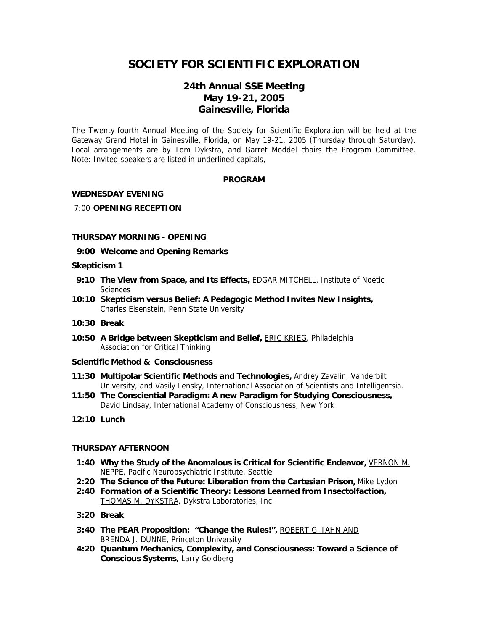# **SOCIETY FOR SCIENTIFIC EXPLORATION**

# **24th Annual SSE Meeting May 19-21, 2005 Gainesville, Florida**

The Twenty-fourth Annual Meeting of the Society for Scientific Exploration will be held at the Gateway Grand Hotel in Gainesville, Florida, on May 19-21, 2005 (Thursday through Saturday). Local arrangements are by Tom Dykstra, and Garret Moddel chairs the Program Committee. Note: Invited speakers are listed in underlined capitals,

# **PROGRAM**

# **WEDNESDAY EVENING**

#### 7:00 **OPENING RECEPTION**

# **THURSDAY MORNING - OPENING**

**9:00 Welcome and Opening Remarks**

#### **Skepticism 1**

- **9:10 The View from Space, and Its Effects, EDGAR MITCHELL, Institute of Noetic Sciences**
- **10:10 Skepticism versus Belief: A Pedagogic Method Invites New Insights,**  Charles Eisenstein, Penn State University
- **10:30 Break**
- **10:50 A Bridge between Skepticism and Belief,** ERIC KRIEG, Philadelphia Association for Critical Thinking
- **Scientific Method & Consciousness**
- **11:30 Multipolar Scientific Methods and Technologies,** Andrey Zavalin, Vanderbilt University, and Vasily Lensky, International Association of Scientists and Intelligentsia.
- **11:50 The Consciential Paradigm: A new Paradigm for Studying Consciousness,**  David Lindsay, International Academy of Consciousness, New York
- **12:10 Lunch**

# **THURSDAY AFTERNOON**

- **1:40 Why the Study of the Anomalous is Critical for Scientific Endeavor,** VERNON M. NEPPE, Pacific Neuropsychiatric Institute, Seattle
- **2:20 The Science of the Future: Liberation from the Cartesian Prison,** Mike Lydon
- **2:40 Formation of a Scientific Theory: Lessons Learned from Insectolfaction,**  THOMAS M. DYKSTRA, Dykstra Laboratories, Inc.
- **3:20 Break**
- **3:40 The PEAR Proposition: "Change the Rules!",** ROBERT G. JAHN AND BRENDA J. DUNNE, Princeton University
- **4:20 Quantum Mechanics, Complexity, and Consciousness: Toward a Science of Conscious Systems**, Larry Goldberg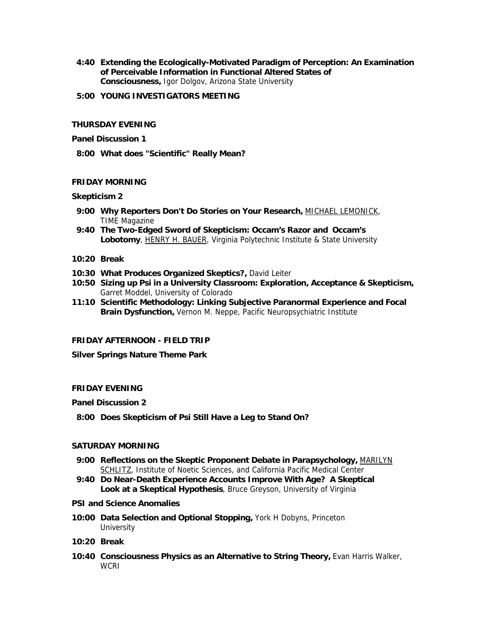- **4:40 Extending the Ecologically-Motivated Paradigm of Perception: An Examination of Perceivable Information in Functional Altered States of Consciousness,** Igor Dolgov, Arizona State University
- **5:00 YOUNG INVESTIGATORS MEETING**

# **THURSDAY EVENING**

#### **Panel Discussion 1**

 **8:00 What does "Scientific" Really Mean?** 

#### **FRIDAY MORNING**

#### **Skepticism 2**

- **9:00 Why Reporters Don't Do Stories on Your Research,** MICHAEL LEMONICK, TIME Magazine
- **9:40 The Two-Edged Sword of Skepticism: Occam's Razor and Occam's Lobotomy**, HENRY H. BAUER, Virginia Polytechnic Institute & State University
- **10:20 Break**
- **10:30 What Produces Organized Skeptics?,** David Leiter
- **10:50 Sizing up Psi in a University Classroom: Exploration, Acceptance & Skepticism,**  Garret Moddel, University of Colorado
- **11:10 Scientific Methodology: Linking Subjective Paranormal Experience and Focal Brain Dysfunction,** Vernon M. Neppe, Pacific Neuropsychiatric Institute

# **FRIDAY AFTERNOON - FIELD TRIP**

**Silver Springs Nature Theme Park** 

# **FRIDAY EVENING**

#### **Panel Discussion 2**

 **8:00 Does Skepticism of Psi Still Have a Leg to Stand On?** 

# **SATURDAY MORNING**

- **9:00 Reflections on the Skeptic Proponent Debate in Parapsychology,** MARILYN SCHLITZ, Institute of Noetic Sciences, and California Pacific Medical Center
- **9:40 Do Near-Death Experience Accounts Improve With Age? A Skeptical Look at a Skeptical Hypothesis**, Bruce Greyson, University of Virginia

#### **PSI and Science Anomalies**

- **10:00 Data Selection and Optional Stopping,** York H Dobyns, Princeton **University**
- **10:20 Break**
- **10:40 Consciousness Physics as an Alternative to String Theory,** Evan Harris Walker, **WCRI**